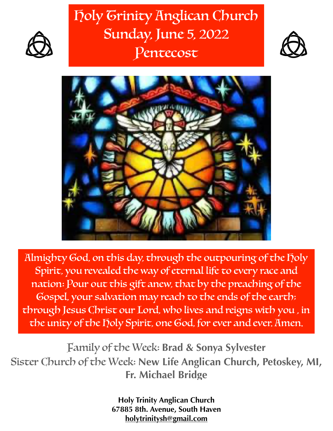# Holy Trinity Anglican Church Sunday, June 5, 2022 Pentecost





Almighty God, on this day, through the outpouring of the holy Spirit, you revealed the way of eternal life to every race and nation: Pour out this gift anew, that by the preaching of the Gospel, your salvation may reach to the ends of the earth; through Jesus Christ our Lord, who lives and reigns with you , in the unity of the holy Spirit, one God, for ever and ever. Amen.

Family of the Week: **Brad & Sonya Sylvester** Sister Church of the Week: **New Life Anglican Church, Petoskey, MI, Fr. Michael Bridge**

> **Holy Trinity Anglican Church 67885 8th. Avenue, South Haven [holytrinitysh@gmail.com](mailto:holytrinitysh@gmail.com)**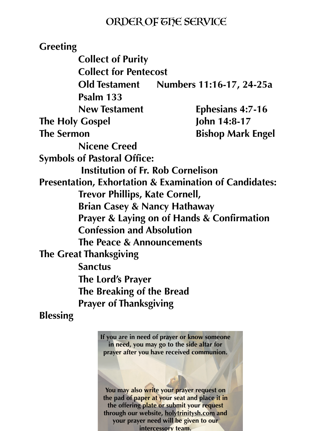### ORDER OF THE SERVICE

**Greeting Collect of Purity Collect for Pentecost Old Testament Numbers 11:16-17, 24-25a Psalm 133 New Testament Ephesians 4:7-16 The Holy Gospel 5-17 John 14:8-17 The Sermon** Bishop Mark Engel **Nicene Creed Symbols of Pastoral Office: Institution of Fr. Rob Cornelison Presentation, Exhortation & Examination of Candidates: Trevor Phillips, Kate Cornell, Brian Casey & Nancy Hathaway Prayer & Laying on of Hands & Confirmation Confession and Absolution The Peace & Announcements The Great Thanksgiving Sanctus The Lord's Prayer The Breaking of the Bread Prayer of Thanksgiving**

**Blessing** 

**If you are in need of prayer or know someone in need, you may go to the side altar for prayer after you have received communion.**

**You may also write your prayer request on the pad of paper at your seat and place it in the offering plate or submit your request through our website, [holytrinitysh.com](http://holytrinitysh.com) and your prayer need will be given to our intercessory team.**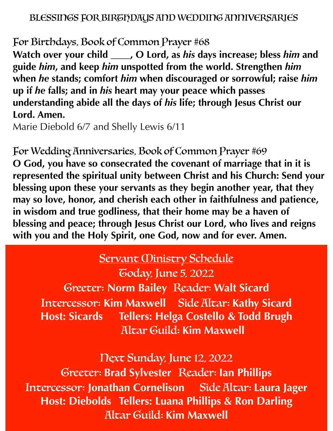#### BLESSINGS FOR BIRGIDAUS AND WEDDING ANNIVERSARIES

For Birthdays, Book of Common Prayer #68

**Watch over your child \_\_\_\_, O Lord, as** *his* **days increase; bless** *him* **and guide** *him***, and keep** *him* **unspotted from the world. Strengthen** *him*  **when** *he* **stands; comfort** *him* **when discouraged or sorrowful; raise** *him*  **up if** *he* **falls; and in** *his* **heart may your peace which passes understanding abide all the days of** *his* **life; through Jesus Christ our Lord. Amen.**

Marie Diebold 6/7 and Shelly Lewis 6/11

For Wedding Anniversaries, Book of Common Prayer #69 **O God, you have so consecrated the covenant of marriage that in it is represented the spiritual unity between Christ and his Church: Send your blessing upon these your servants as they begin another year, that they may so love, honor, and cherish each other in faithfulness and patience, in wisdom and true godliness, that their home may be a haven of blessing and peace; through Jesus Christ our Lord, who lives and reigns with you and the Holy Spirit, one God, now and for ever. Amen.**

## **Servant Ministry Schedule**

Today, June 5, 2022 Greeter: **Norm Bailey** Reader: **Walt Sicard** Intercessor: **Kim Maxwell** Side Altar: **Kathy Sicard Host: Sicards Tellers: Helga Costello & Todd Brugh** Altar Guild: **Kim Maxwell**

Next Sunday, June 12, 2022 Greeter: **Brad Sylvester** Reader: **Ian Phillips** Intercessor: **Jonathan Cornelison** Side Altar: **Laura Jager Host: Diebolds Tellers: Luana Phillips & Ron Darling** Altar Guild: **Kim Maxwell**